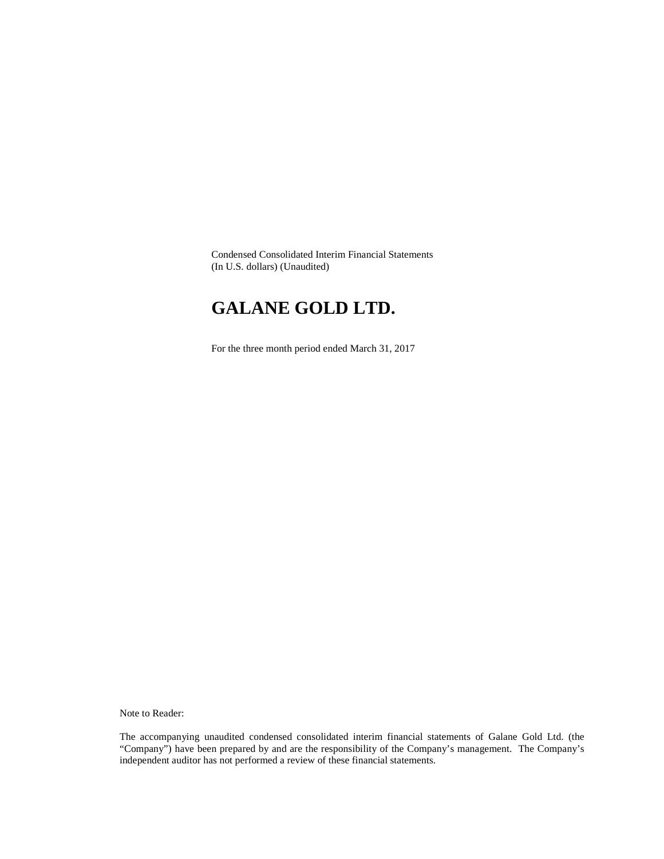Condensed Consolidated Interim Financial Statements (In U.S. dollars) (Unaudited)

# **GALANE GOLD LTD.**

For the three month period ended March 31, 2017

Note to Reader:

The accompanying unaudited condensed consolidated interim financial statements of Galane Gold Ltd. (the "Company") have been prepared by and are the responsibility of the Company's management. The Company's independent auditor has not performed a review of these financial statements.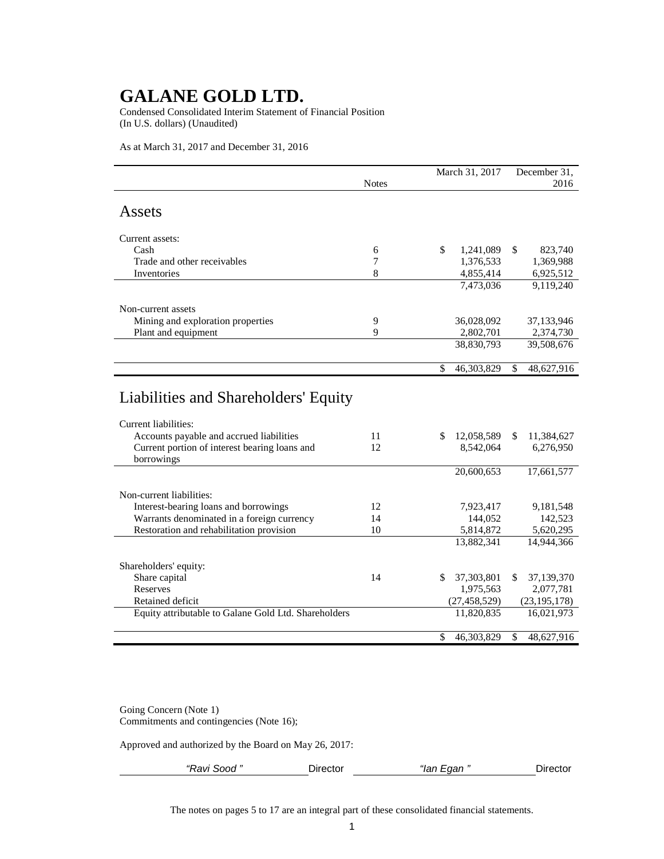Condensed Consolidated Interim Statement of Financial Position (In U.S. dollars) (Unaudited)

As at March 31, 2017 and December 31, 2016

|                                                      | <b>Notes</b> | March 31, 2017   |    | December 31,<br>2016 |  |
|------------------------------------------------------|--------------|------------------|----|----------------------|--|
|                                                      |              |                  |    |                      |  |
| Assets                                               |              |                  |    |                      |  |
| Current assets:                                      |              |                  |    |                      |  |
| Cash                                                 | 6            | \$<br>1,241,089  | \$ | 823,740              |  |
| Trade and other receivables                          | 7            | 1,376,533        |    | 1,369,988            |  |
| Inventories                                          | 8            | 4,855,414        |    | 6,925,512            |  |
|                                                      |              | 7,473,036        |    | 9,119,240            |  |
|                                                      |              |                  |    |                      |  |
| Non-current assets                                   |              |                  |    |                      |  |
| Mining and exploration properties                    | 9            | 36,028,092       |    | 37,133,946           |  |
| Plant and equipment                                  | 9            | 2,802,701        |    | 2,374,730            |  |
|                                                      |              | 38,830,793       |    | 39,508,676           |  |
|                                                      |              |                  |    |                      |  |
|                                                      |              | \$<br>46,303,829 | \$ | 48,627,916           |  |
| Liabilities and Shareholders' Equity                 |              |                  |    |                      |  |
| Current liabilities:                                 |              |                  |    |                      |  |
| Accounts payable and accrued liabilities             | 11           | \$<br>12,058,589 | \$ | 11,384,627           |  |
| Current portion of interest bearing loans and        | 12           | 8,542,064        |    | 6,276,950            |  |
| borrowings                                           |              | 20,600,653       |    | 17,661,577           |  |
|                                                      |              |                  |    |                      |  |
| Non-current liabilities:                             |              |                  |    |                      |  |
| Interest-bearing loans and borrowings                | 12           | 7,923,417        |    | 9,181,548            |  |
| Warrants denominated in a foreign currency           | 14           | 144,052          |    | 142,523              |  |
| Restoration and rehabilitation provision             | 10           | 5,814,872        |    | 5,620,295            |  |
|                                                      |              | 13,882,341       |    | 14,944,366           |  |
|                                                      |              |                  |    |                      |  |
| Shareholders' equity:                                |              |                  |    |                      |  |
| Share capital                                        | 14           | \$<br>37,303,801 | \$ | 37,139,370           |  |
| Reserves                                             |              | 1,975,563        |    | 2,077,781            |  |
| Retained deficit                                     |              | (27, 458, 529)   |    | (23, 195, 178)       |  |
| Equity attributable to Galane Gold Ltd. Shareholders |              | 11,820,835       |    | 16,021,973           |  |
|                                                      |              |                  |    |                      |  |
|                                                      |              | \$<br>46,303,829 | \$ | 48,627,916           |  |

Going Concern (Note 1) Commitments and contingencies (Note 16);

Approved and authorized by the Board on May 26, 2017:

| - Ravi Sood ″ | ≀ırector<br>___ | $\sim$ $\sim$<br><br>. IHI<br>idi | ----<br>ш<br>эстог |
|---------------|-----------------|-----------------------------------|--------------------|
|               |                 |                                   |                    |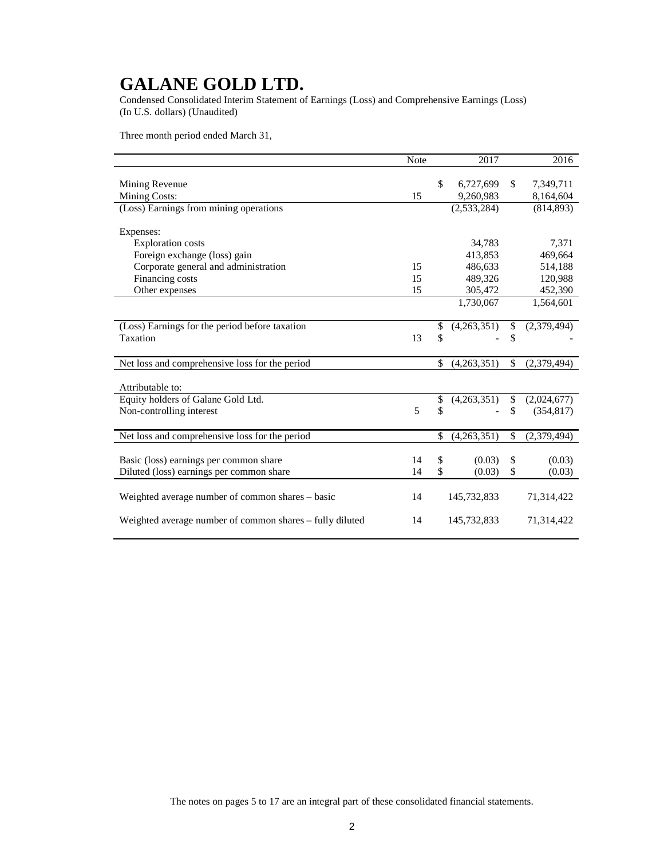Condensed Consolidated Interim Statement of Earnings (Loss) and Comprehensive Earnings (Loss) (In U.S. dollars) (Unaudited)

Three month period ended March 31,

|                                                          | Note | 2017              | 2016              |
|----------------------------------------------------------|------|-------------------|-------------------|
|                                                          |      |                   |                   |
| Mining Revenue                                           |      | \$<br>6,727,699   | \$<br>7,349,711   |
| <b>Mining Costs:</b>                                     | 15   | 9,260,983         | 8,164,604         |
| (Loss) Earnings from mining operations                   |      | (2,533,284)       | (814, 893)        |
|                                                          |      |                   |                   |
| Expenses:                                                |      |                   |                   |
| <b>Exploration</b> costs                                 |      | 34,783            | 7,371             |
| Foreign exchange (loss) gain                             |      | 413,853           | 469,664           |
| Corporate general and administration                     | 15   | 486,633           | 514,188           |
| Financing costs                                          | 15   | 489,326           | 120,988           |
| Other expenses                                           | 15   | 305,472           | 452,390           |
|                                                          |      | 1,730,067         | 1,564,601         |
|                                                          |      |                   |                   |
| (Loss) Earnings for the period before taxation           |      | \$<br>(4,263,351) | \$<br>(2,379,494) |
| Taxation                                                 | 13   | \$                | \$                |
|                                                          |      |                   |                   |
| Net loss and comprehensive loss for the period           |      | \$<br>(4,263,351) | \$<br>(2,379,494) |
|                                                          |      |                   |                   |
| Attributable to:                                         |      |                   |                   |
| Equity holders of Galane Gold Ltd.                       |      | \$<br>(4,263,351) | \$<br>(2,024,677) |
| Non-controlling interest                                 | 5    | \$                | \$<br>(354, 817)  |
|                                                          |      |                   |                   |
| Net loss and comprehensive loss for the period           |      | \$<br>(4,263,351) | \$<br>(2,379,494) |
|                                                          |      |                   |                   |
| Basic (loss) earnings per common share                   | 14   | \$<br>(0.03)      | \$<br>(0.03)      |
| Diluted (loss) earnings per common share                 | 14   | \$<br>(0.03)      | \$<br>(0.03)      |
|                                                          |      |                   |                   |
| Weighted average number of common shares - basic         | 14   | 145,732,833       | 71,314,422        |
|                                                          |      |                   |                   |
| Weighted average number of common shares - fully diluted | 14   | 145,732,833       | 71,314,422        |
|                                                          |      |                   |                   |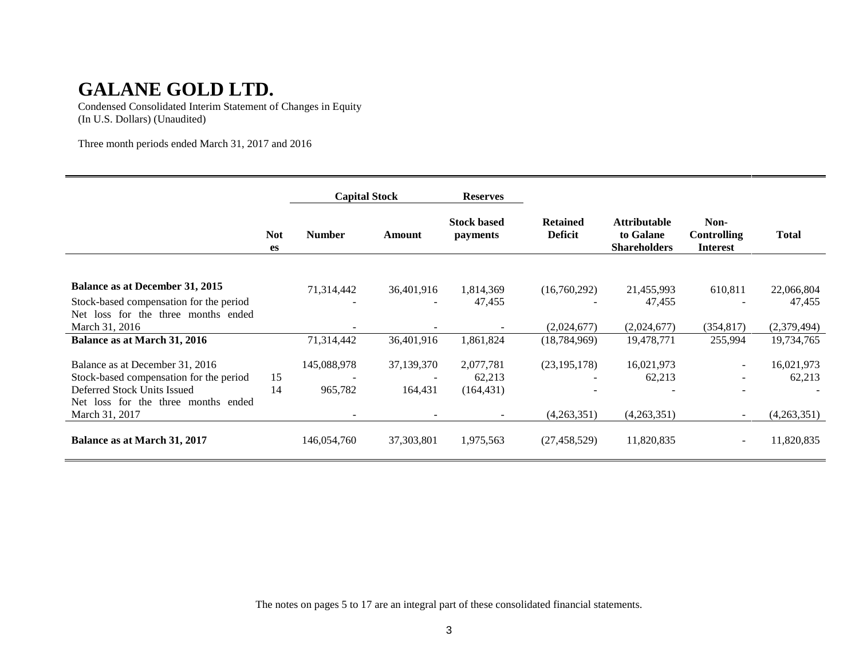Condensed Consolidated Interim Statement of Changes in Equity (In U.S. Dollars) (Unaudited)

Three month periods ended March 31, 2017 and 2016

|                                               |                  | <b>Capital Stock</b>     |                          | <b>Reserves</b>                       |                                   |                                                         |                                               |              |
|-----------------------------------------------|------------------|--------------------------|--------------------------|---------------------------------------|-----------------------------------|---------------------------------------------------------|-----------------------------------------------|--------------|
|                                               | <b>Not</b><br>es | <b>Number</b>            | Amount                   | <b>Stock based</b><br><i>payments</i> | <b>Retained</b><br><b>Deficit</b> | <b>Attributable</b><br>to Galane<br><b>Shareholders</b> | Non-<br><b>Controlling</b><br><b>Interest</b> | <b>Total</b> |
|                                               |                  |                          |                          |                                       |                                   |                                                         |                                               |              |
| Balance as at December 31, 2015               |                  | 71,314,442               | 36,401,916               | 1,814,369                             | (16,760,292)                      | 21,455,993                                              | 610,811                                       | 22,066,804   |
| Stock-based compensation for the period       |                  | $\overline{\phantom{a}}$ | $\overline{\phantom{a}}$ | 47,455                                |                                   | 47,455                                                  |                                               | 47,455       |
| loss for the three months ended<br><b>Net</b> |                  |                          |                          |                                       |                                   |                                                         |                                               |              |
| March 31, 2016                                |                  |                          |                          |                                       | (2,024,677)                       | (2,024,677)                                             | (354, 817)                                    | (2,379,494)  |
| Balance as at March 31, 2016                  |                  | 71,314,442               | 36,401,916               | 1,861,824                             | (18, 784, 969)                    | 19,478,771                                              | 255,994                                       | 19,734,765   |
| Balance as at December 31, 2016               |                  | 145,088,978              | 37,139,370               | 2,077,781                             | (23, 195, 178)                    | 16,021,973                                              | н.                                            | 16,021,973   |
| Stock-based compensation for the period       | 15               |                          |                          | 62,213                                |                                   | 62,213                                                  |                                               | 62,213       |
| Deferred Stock Units Issued                   | 14               | 965,782                  | 164,431                  | (164, 431)                            |                                   |                                                         |                                               |              |
| Net loss for the three months ended           |                  |                          |                          |                                       |                                   |                                                         |                                               |              |
| March 31, 2017                                |                  |                          |                          |                                       | (4,263,351)                       | (4,263,351)                                             |                                               | (4,263,351)  |
| Balance as at March 31, 2017                  |                  | 146,054,760              | 37, 303, 801             | 1,975,563                             | (27, 458, 529)                    | 11,820,835                                              | $\sim$                                        | 11,820,835   |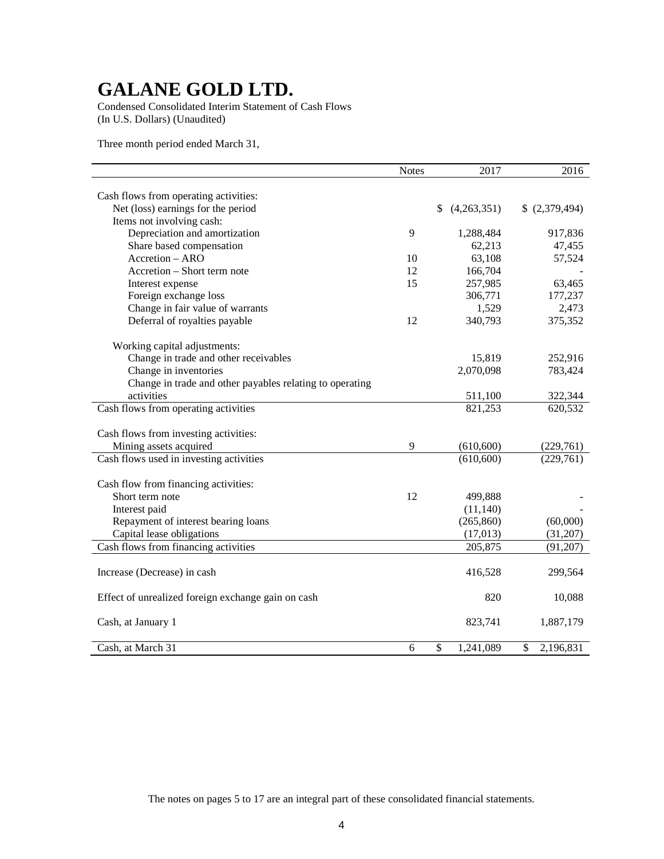Condensed Consolidated Interim Statement of Cash Flows (In U.S. Dollars) (Unaudited)

Three month period ended March 31,

|                                                          | <b>Notes</b> | 2017                                  | 2016            |
|----------------------------------------------------------|--------------|---------------------------------------|-----------------|
|                                                          |              |                                       |                 |
| Cash flows from operating activities:                    |              |                                       |                 |
| Net (loss) earnings for the period                       |              | (4,263,351)<br>\$                     | \$ (2,379,494)  |
| Items not involving cash:                                |              |                                       |                 |
| Depreciation and amortization                            | 9            | 1,288,484                             | 917,836         |
| Share based compensation                                 |              | 62,213                                | 47,455          |
| Accretion - ARO                                          | 10           | 63,108                                | 57,524          |
| Accretion - Short term note                              | 12           | 166,704                               |                 |
| Interest expense                                         | 15           | 257,985                               | 63,465          |
| Foreign exchange loss                                    |              | 306,771                               | 177,237         |
| Change in fair value of warrants                         |              | 1,529                                 | 2,473           |
| Deferral of royalties payable                            | 12           | 340,793                               | 375,352         |
| Working capital adjustments:                             |              |                                       |                 |
| Change in trade and other receivables                    |              | 15,819                                | 252,916         |
| Change in inventories                                    |              | 2,070,098                             | 783,424         |
| Change in trade and other payables relating to operating |              |                                       |                 |
| activities                                               |              | 511,100                               | 322,344         |
| Cash flows from operating activities                     |              | 821,253                               | 620,532         |
|                                                          |              |                                       |                 |
| Cash flows from investing activities:                    | 9            |                                       |                 |
| Mining assets acquired                                   |              | (610, 600)                            | (229,761)       |
| Cash flows used in investing activities                  |              | (610, 600)                            | (229,761)       |
| Cash flow from financing activities:                     |              |                                       |                 |
| Short term note                                          | 12           | 499,888                               |                 |
| Interest paid                                            |              | (11, 140)                             |                 |
| Repayment of interest bearing loans                      |              | (265, 860)                            | (60,000)        |
| Capital lease obligations                                |              | (17, 013)                             | (31,207)        |
| Cash flows from financing activities                     |              | 205,875                               | (91, 207)       |
|                                                          |              |                                       |                 |
| Increase (Decrease) in cash                              |              | 416,528                               | 299,564         |
| Effect of unrealized foreign exchange gain on cash       |              | 820                                   | 10,088          |
|                                                          |              |                                       |                 |
| Cash, at January 1                                       |              | 823,741                               | 1,887,179       |
|                                                          |              |                                       |                 |
| Cash, at March 31                                        | 6            | $\overline{\mathcal{S}}$<br>1,241,089 | \$<br>2,196,831 |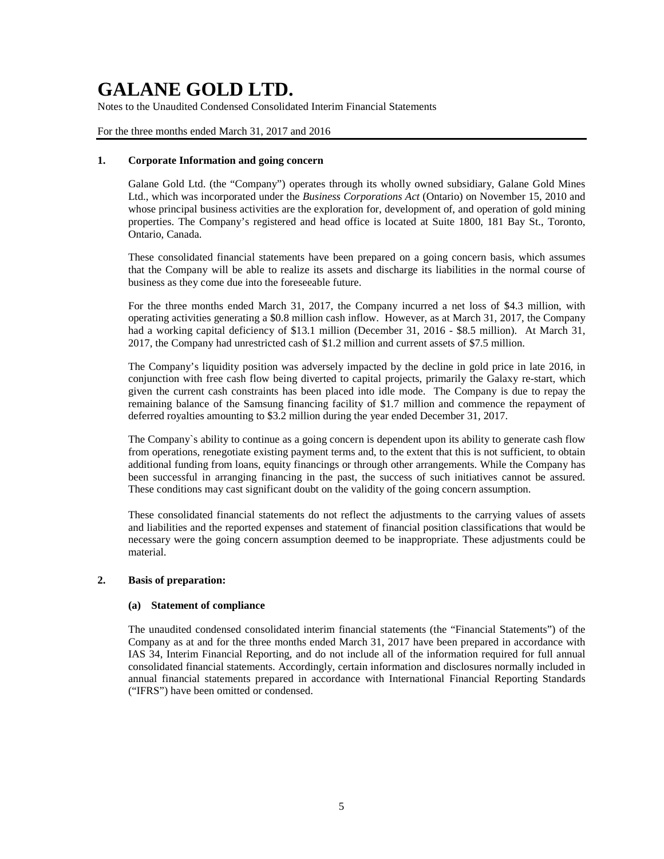Notes to the Unaudited Condensed Consolidated Interim Financial Statements

For the three months ended March 31, 2017 and 2016

## **1. Corporate Information and going concern**

Galane Gold Ltd. (the "Company") operates through its wholly owned subsidiary, Galane Gold Mines Ltd., which was incorporated under the *Business Corporations Act* (Ontario) on November 15, 2010 and whose principal business activities are the exploration for, development of, and operation of gold mining properties. The Company's registered and head office is located at Suite 1800, 181 Bay St., Toronto, Ontario, Canada.

These consolidated financial statements have been prepared on a going concern basis, which assumes that the Company will be able to realize its assets and discharge its liabilities in the normal course of business as they come due into the foreseeable future.

For the three months ended March 31, 2017, the Company incurred a net loss of \$4.3 million, with operating activities generating a \$0.8 million cash inflow. However, as at March 31, 2017, the Company had a working capital deficiency of \$13.1 million (December 31, 2016 - \$8.5 million). At March 31, 2017, the Company had unrestricted cash of \$1.2 million and current assets of \$7.5 million.

The Company's liquidity position was adversely impacted by the decline in gold price in late 2016, in conjunction with free cash flow being diverted to capital projects, primarily the Galaxy re-start, which given the current cash constraints has been placed into idle mode. The Company is due to repay the remaining balance of the Samsung financing facility of \$1.7 million and commence the repayment of deferred royalties amounting to \$3.2 million during the year ended December 31, 2017.

The Company`s ability to continue as a going concern is dependent upon its ability to generate cash flow from operations, renegotiate existing payment terms and, to the extent that this is not sufficient, to obtain additional funding from loans, equity financings or through other arrangements. While the Company has been successful in arranging financing in the past, the success of such initiatives cannot be assured. These conditions may cast significant doubt on the validity of the going concern assumption.

These consolidated financial statements do not reflect the adjustments to the carrying values of assets and liabilities and the reported expenses and statement of financial position classifications that would be necessary were the going concern assumption deemed to be inappropriate. These adjustments could be material.

## **2. Basis of preparation:**

### **(a) Statement of compliance**

The unaudited condensed consolidated interim financial statements (the "Financial Statements") of the Company as at and for the three months ended March 31, 2017 have been prepared in accordance with IAS 34, Interim Financial Reporting, and do not include all of the information required for full annual consolidated financial statements. Accordingly, certain information and disclosures normally included in annual financial statements prepared in accordance with International Financial Reporting Standards ("IFRS") have been omitted or condensed.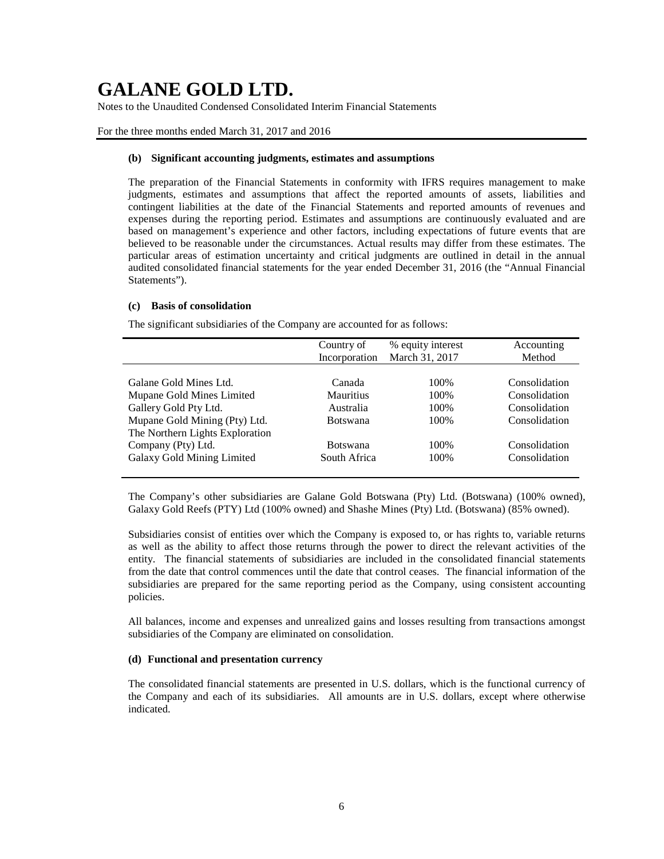Notes to the Unaudited Condensed Consolidated Interim Financial Statements

### For the three months ended March 31, 2017 and 2016

### **(b) Significant accounting judgments, estimates and assumptions**

The preparation of the Financial Statements in conformity with IFRS requires management to make judgments, estimates and assumptions that affect the reported amounts of assets, liabilities and contingent liabilities at the date of the Financial Statements and reported amounts of revenues and expenses during the reporting period. Estimates and assumptions are continuously evaluated and are based on management's experience and other factors, including expectations of future events that are believed to be reasonable under the circumstances. Actual results may differ from these estimates. The particular areas of estimation uncertainty and critical judgments are outlined in detail in the annual audited consolidated financial statements for the year ended December 31, 2016 (the "Annual Financial Statements").

### **(c) Basis of consolidation**

The significant subsidiaries of the Company are accounted for as follows:

|                                 | Country of       | % equity interest | Accounting    |
|---------------------------------|------------------|-------------------|---------------|
|                                 | Incorporation    | March 31, 2017    | Method        |
|                                 |                  |                   |               |
| Galane Gold Mines Ltd.          | Canada           | 100\%             | Consolidation |
| Mupane Gold Mines Limited       | <b>Mauritius</b> | 100%              | Consolidation |
| Gallery Gold Pty Ltd.           | Australia        | 100%              | Consolidation |
| Mupane Gold Mining (Pty) Ltd.   | <b>Botswana</b>  | 100\%             | Consolidation |
| The Northern Lights Exploration |                  |                   |               |
| Company (Pty) Ltd.              | <b>Botswana</b>  | 100\%             | Consolidation |
| Galaxy Gold Mining Limited      | South Africa     | 100%              | Consolidation |
|                                 |                  |                   |               |

The Company's other subsidiaries are Galane Gold Botswana (Pty) Ltd. (Botswana) (100% owned), Galaxy Gold Reefs (PTY) Ltd (100% owned) and Shashe Mines (Pty) Ltd. (Botswana) (85% owned).

Subsidiaries consist of entities over which the Company is exposed to, or has rights to, variable returns as well as the ability to affect those returns through the power to direct the relevant activities of the entity. The financial statements of subsidiaries are included in the consolidated financial statements from the date that control commences until the date that control ceases. The financial information of the subsidiaries are prepared for the same reporting period as the Company, using consistent accounting policies.

All balances, income and expenses and unrealized gains and losses resulting from transactions amongst subsidiaries of the Company are eliminated on consolidation.

### **(d) Functional and presentation currency**

The consolidated financial statements are presented in U.S. dollars, which is the functional currency of the Company and each of its subsidiaries. All amounts are in U.S. dollars, except where otherwise indicated.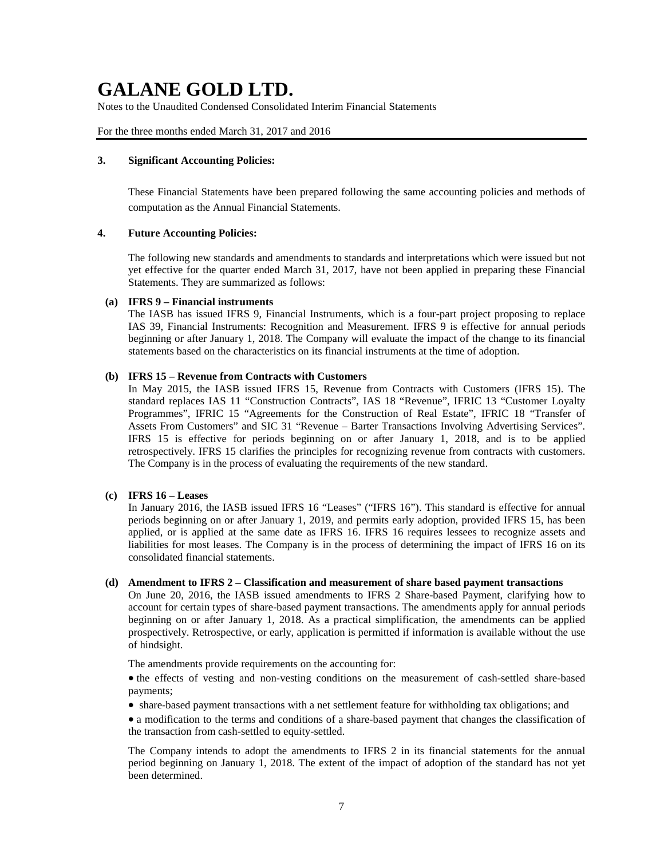Notes to the Unaudited Condensed Consolidated Interim Financial Statements

For the three months ended March 31, 2017 and 2016

## **3. Significant Accounting Policies:**

These Financial Statements have been prepared following the same accounting policies and methods of computation as the Annual Financial Statements.

## **4. Future Accounting Policies:**

The following new standards and amendments to standards and interpretations which were issued but not yet effective for the quarter ended March 31, 2017, have not been applied in preparing these Financial Statements. They are summarized as follows:

### **(a) IFRS 9 – Financial instruments**

The IASB has issued IFRS 9, Financial Instruments, which is a four-part project proposing to replace IAS 39, Financial Instruments: Recognition and Measurement. IFRS 9 is effective for annual periods beginning or after January 1, 2018. The Company will evaluate the impact of the change to its financial statements based on the characteristics on its financial instruments at the time of adoption.

# **(b) IFRS 15 – Revenue from Contracts with Customers**

In May 2015, the IASB issued IFRS 15, Revenue from Contracts with Customers (IFRS 15). The standard replaces IAS 11 "Construction Contracts", IAS 18 "Revenue", IFRIC 13 "Customer Loyalty Programmes", IFRIC 15 "Agreements for the Construction of Real Estate", IFRIC 18 "Transfer of Assets From Customers" and SIC 31 "Revenue – Barter Transactions Involving Advertising Services". IFRS 15 is effective for periods beginning on or after January 1, 2018, and is to be applied retrospectively. IFRS 15 clarifies the principles for recognizing revenue from contracts with customers. The Company is in the process of evaluating the requirements of the new standard.

### **(c) IFRS 16 – Leases**

In January 2016, the IASB issued IFRS 16 "Leases" ("IFRS 16"). This standard is effective for annual periods beginning on or after January 1, 2019, and permits early adoption, provided IFRS 15, has been applied, or is applied at the same date as IFRS 16. IFRS 16 requires lessees to recognize assets and liabilities for most leases. The Company is in the process of determining the impact of IFRS 16 on its consolidated financial statements.

### **(d) Amendment to IFRS 2 – Classification and measurement of share based payment transactions**

On June 20, 2016, the IASB issued amendments to IFRS 2 Share-based Payment, clarifying how to account for certain types of share-based payment transactions. The amendments apply for annual periods beginning on or after January 1, 2018. As a practical simplification, the amendments can be applied prospectively. Retrospective, or early, application is permitted if information is available without the use of hindsight.

The amendments provide requirements on the accounting for:

• the effects of vesting and non-vesting conditions on the measurement of cash-settled share-based payments;

• share-based payment transactions with a net settlement feature for withholding tax obligations; and

• a modification to the terms and conditions of a share-based payment that changes the classification of the transaction from cash-settled to equity-settled.

The Company intends to adopt the amendments to IFRS 2 in its financial statements for the annual period beginning on January 1, 2018. The extent of the impact of adoption of the standard has not yet been determined.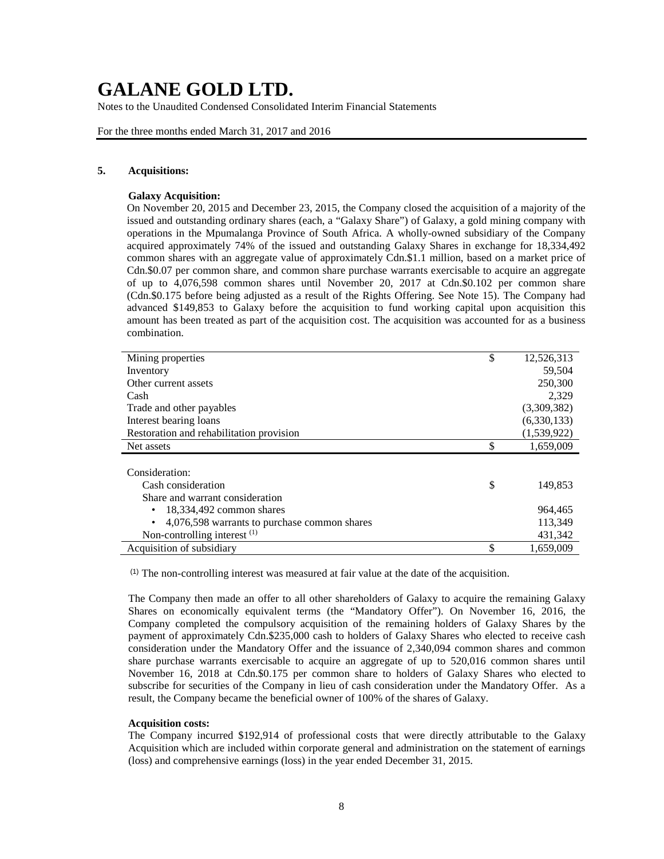Notes to the Unaudited Condensed Consolidated Interim Financial Statements

For the three months ended March 31, 2017 and 2016

## **5. Acquisitions:**

### **Galaxy Acquisition:**

On November 20, 2015 and December 23, 2015, the Company closed the acquisition of a majority of the issued and outstanding ordinary shares (each, a "Galaxy Share") of Galaxy, a gold mining company with operations in the Mpumalanga Province of South Africa. A wholly-owned subsidiary of the Company acquired approximately 74% of the issued and outstanding Galaxy Shares in exchange for 18,334,492 common shares with an aggregate value of approximately Cdn.\$1.1 million, based on a market price of Cdn.\$0.07 per common share, and common share purchase warrants exercisable to acquire an aggregate of up to 4,076,598 common shares until November 20, 2017 at Cdn.\$0.102 per common share (Cdn.\$0.175 before being adjusted as a result of the Rights Offering. See Note 15). The Company had advanced \$149,853 to Galaxy before the acquisition to fund working capital upon acquisition this amount has been treated as part of the acquisition cost. The acquisition was accounted for as a business combination.

| Mining properties                            | \$<br>12,526,313 |
|----------------------------------------------|------------------|
| Inventory                                    | 59,504           |
| Other current assets                         | 250,300          |
| Cash                                         | 2,329            |
| Trade and other payables                     | (3,309,382)      |
| Interest bearing loans                       | (6,330,133)      |
| Restoration and rehabilitation provision     | (1,539,922)      |
| Net assets                                   | \$<br>1,659,009  |
|                                              |                  |
| Consideration:                               |                  |
| Cash consideration                           | \$<br>149,853    |
| Share and warrant consideration              |                  |
| 18,334,492 common shares<br>$\bullet$        | 964,465          |
| 4,076,598 warrants to purchase common shares | 113,349          |
| Non-controlling interest $(1)$               | 431,342          |
| Acquisition of subsidiary                    | \$<br>1,659,009  |

(1) The non-controlling interest was measured at fair value at the date of the acquisition.

The Company then made an offer to all other shareholders of Galaxy to acquire the remaining Galaxy Shares on economically equivalent terms (the "Mandatory Offer"). On November 16, 2016, the Company completed the compulsory acquisition of the remaining holders of Galaxy Shares by the payment of approximately Cdn.\$235,000 cash to holders of Galaxy Shares who elected to receive cash consideration under the Mandatory Offer and the issuance of 2,340,094 common shares and common share purchase warrants exercisable to acquire an aggregate of up to 520,016 common shares until November 16, 2018 at Cdn.\$0.175 per common share to holders of Galaxy Shares who elected to subscribe for securities of the Company in lieu of cash consideration under the Mandatory Offer. As a result, the Company became the beneficial owner of 100% of the shares of Galaxy.

#### **Acquisition costs:**

The Company incurred \$192,914 of professional costs that were directly attributable to the Galaxy Acquisition which are included within corporate general and administration on the statement of earnings (loss) and comprehensive earnings (loss) in the year ended December 31, 2015.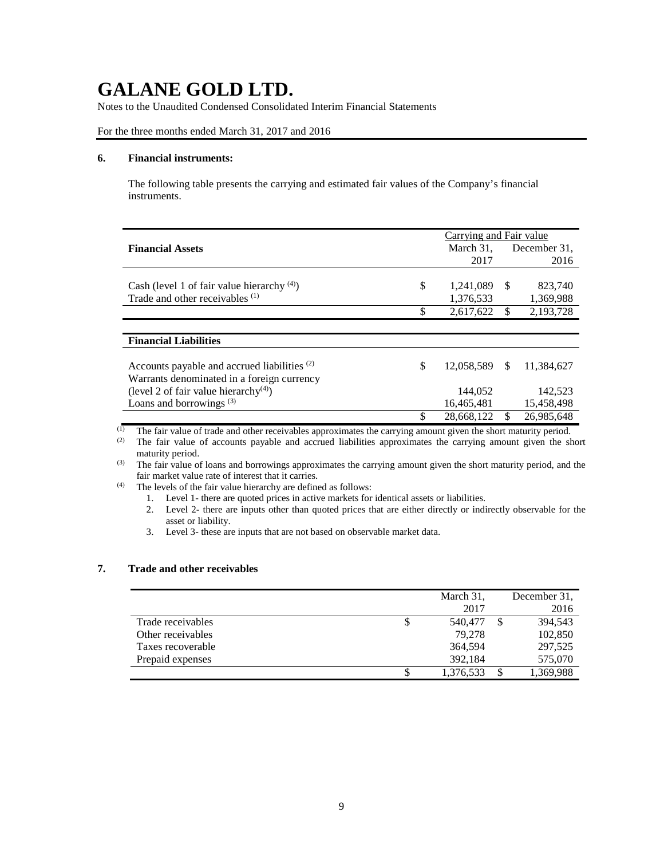Notes to the Unaudited Condensed Consolidated Interim Financial Statements

## For the three months ended March 31, 2017 and 2016

### **6. Financial instruments:**

The following table presents the carrying and estimated fair values of the Company's financial instruments.

|                                                         | Carrying and Fair value |    |              |
|---------------------------------------------------------|-------------------------|----|--------------|
| <b>Financial Assets</b>                                 | March 31,               |    | December 31, |
|                                                         | 2017                    |    | 2016         |
|                                                         |                         |    |              |
| Cash (level 1 of fair value hierarchy $(4)$ )           | \$<br>1,241,089         | -S | 823,740      |
| Trade and other receivables <sup>(1)</sup>              | 1,376,533               |    | 1,369,988    |
|                                                         | \$<br>2,617,622         |    | 2,193,728    |
|                                                         |                         |    |              |
| <b>Financial Liabilities</b>                            |                         |    |              |
|                                                         |                         |    |              |
| Accounts payable and accrued liabilities <sup>(2)</sup> | \$<br>12,058,589        | -S | 11.384.627   |
| Warrants denominated in a foreign currency              |                         |    |              |
| (level 2 of fair value hierarchy <sup>(4)</sup> )       | 144,052                 |    | 142,523      |
| Loans and borrowings $(3)$                              | 16,465,481              |    | 15,458,498   |
|                                                         | \$<br>28.668.122        |    | 26.985.648   |

(1) The fair value of trade and other receivables approximates the carrying amount given the short maturity period.<br>(2) The fair value of accounts payable and accrued liabilities approximates the carrying amount given the

The fair value of accounts payable and accrued liabilities approximates the carrying amount given the short maturity period.

- <sup>(3)</sup> The fair value of loans and borrowings approximates the carrying amount given the short maturity period, and the fair market value rate of interest that it carries.
- (4) The levels of the fair value hierarchy are defined as follows:
	- 1. Level 1- there are quoted prices in active markets for identical assets or liabilities.

2. Level 2- there are inputs other than quoted prices that are either directly or indirectly observable for the asset or liability.

3. Level 3- these are inputs that are not based on observable market data.

# **7. Trade and other receivables**

|                   | March 31,     | December 31, |
|-------------------|---------------|--------------|
|                   | 2017          | 2016         |
| Trade receivables | \$<br>540,477 | 394.543      |
| Other receivables | 79.278        | 102,850      |
| Taxes recoverable | 364,594       | 297,525      |
| Prepaid expenses  | 392.184       | 575,070      |
|                   | 1,376,533     | 1,369,988    |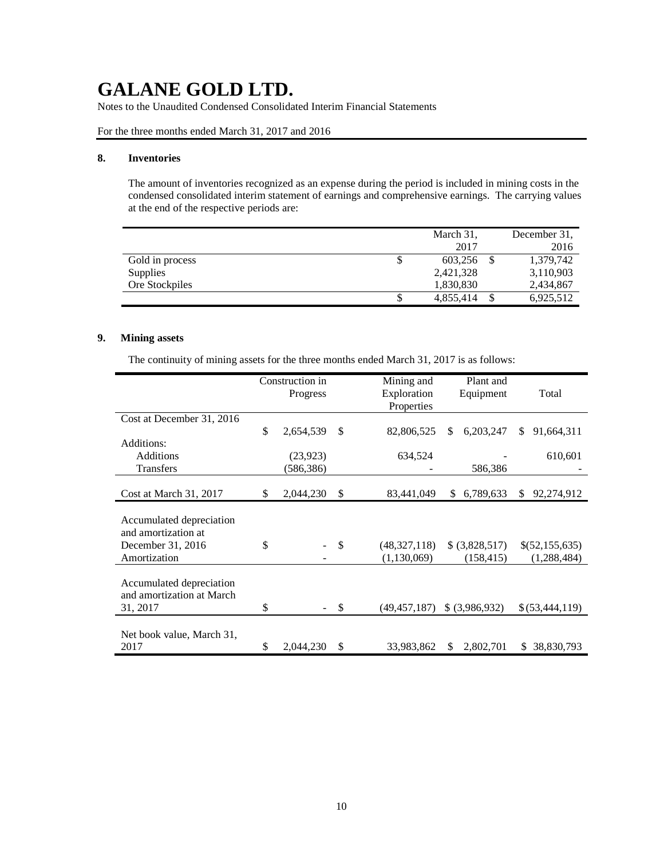Notes to the Unaudited Condensed Consolidated Interim Financial Statements

For the three months ended March 31, 2017 and 2016

### **8. Inventories**

The amount of inventories recognized as an expense during the period is included in mining costs in the condensed consolidated interim statement of earnings and comprehensive earnings. The carrying values at the end of the respective periods are:

|                 |   | March 31, | December 31, |
|-----------------|---|-----------|--------------|
|                 |   | 2017      | 2016         |
| Gold in process | J | 603.256   | 1,379,742    |
| <b>Supplies</b> |   | 2,421,328 | 3,110,903    |
| Ore Stockpiles  |   | 1,830,830 | 2,434,867    |
|                 |   | 4,855,414 | 6,925,512    |

## **9. Mining assets**

The continuity of mining assets for the three months ended March 31, 2017 is as follows:

|                                                                                      | Construction in |               | Mining and                      | Plant and                    |                                 |
|--------------------------------------------------------------------------------------|-----------------|---------------|---------------------------------|------------------------------|---------------------------------|
|                                                                                      | Progress        |               | Exploration                     | Equipment                    | Total                           |
|                                                                                      |                 |               | Properties                      |                              |                                 |
| Cost at December 31, 2016                                                            |                 |               |                                 |                              |                                 |
|                                                                                      | \$<br>2,654,539 | \$            | 82,806,525                      | 6,203,247<br>S               | 91,664,311<br>\$.               |
| Additions:                                                                           |                 |               |                                 |                              |                                 |
| Additions                                                                            | (23, 923)       |               | 634,524                         |                              | 610,601                         |
| <b>Transfers</b>                                                                     | (586,386)       |               |                                 | 586,386                      |                                 |
|                                                                                      |                 |               |                                 |                              |                                 |
| Cost at March 31, 2017                                                               | \$<br>2,044,230 | \$            | 83,441,049                      | 6,789,633<br>\$              | 92,274,912<br>\$                |
| Accumulated depreciation<br>and amortization at<br>December 31, 2016<br>Amortization | \$              | $\mathcal{S}$ | (48, 327, 118)<br>(1, 130, 069) | \$ (3,828,517)<br>(158, 415) | \$(52,155,635)<br>(1, 288, 484) |
| Accumulated depreciation<br>and amortization at March<br>31, 2017                    | \$              | \$            | (49, 457, 187)                  | \$ (3,986,932)               | \$(53,444,119)                  |
| Net book value, March 31,<br>2017                                                    | \$<br>2,044,230 | \$            | 33,983,862                      | \$<br>2,802,701              | 38,830,793<br>\$                |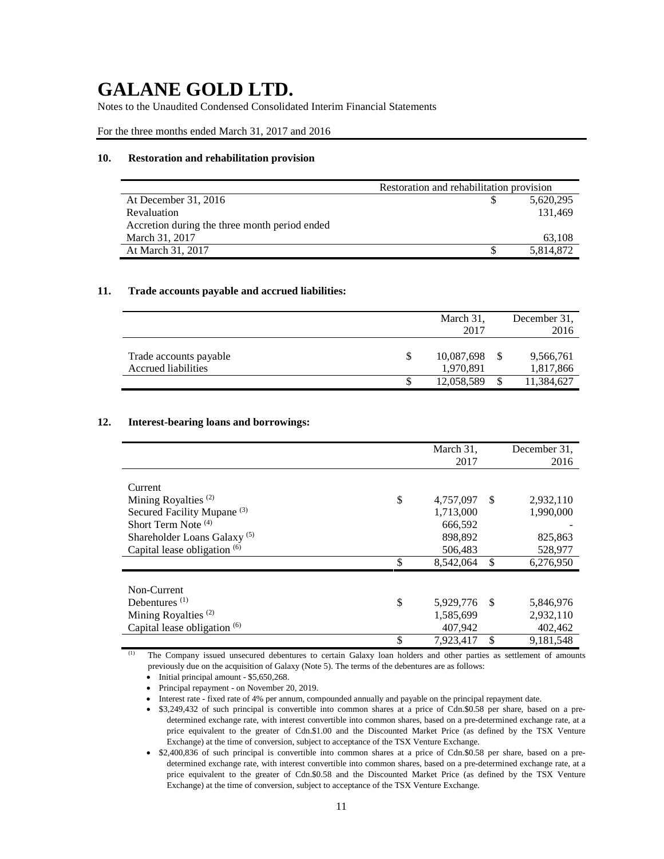Notes to the Unaudited Condensed Consolidated Interim Financial Statements

For the three months ended March 31, 2017 and 2016

### **10. Restoration and rehabilitation provision**

|                                               | Restoration and rehabilitation provision |           |
|-----------------------------------------------|------------------------------------------|-----------|
| At December 31, 2016                          |                                          | 5,620,295 |
| Revaluation                                   |                                          | 131.469   |
| Accretion during the three month period ended |                                          |           |
| March 31, 2017                                |                                          | 63.108    |
| At March 31, 2017                             |                                          | 5,814,872 |

### **11. Trade accounts payable and accrued liabilities:**

|                                               | March 31,<br>2017       |    | December 31.<br>2016   |
|-----------------------------------------------|-------------------------|----|------------------------|
| Trade accounts payable<br>Accrued liabilities | 10,087,698<br>1,970,891 |    | 9,566,761<br>1,817,866 |
|                                               | 12,058,589              | £. | 11,384,627             |

#### **12. Interest-bearing loans and borrowings:**

|                                         | March 31,       |               | December 31, |
|-----------------------------------------|-----------------|---------------|--------------|
|                                         | 2017            |               | 2016         |
|                                         |                 |               |              |
| Current                                 |                 |               |              |
| Mining Royalties $(2)$                  | \$<br>4,757,097 | <sup>\$</sup> | 2,932,110    |
| Secured Facility Mupane <sup>(3)</sup>  | 1,713,000       |               | 1,990,000    |
| Short Term Note <sup>(4)</sup>          | 666.592         |               |              |
| Shareholder Loans Galaxy <sup>(5)</sup> | 898.892         |               | 825,863      |
| Capital lease obligation $(6)$          | 506,483         |               | 528,977      |
|                                         | \$<br>8,542,064 | \$            | 6,276,950    |
|                                         |                 |               |              |
| Non-Current                             |                 |               |              |
| Debentures <sup>(1)</sup>               | \$<br>5,929,776 | -S            | 5,846,976    |
| Mining Royalties <sup>(2)</sup>         | 1,585,699       |               | 2,932,110    |
| Capital lease obligation $(6)$          | 407,942         |               | 402,462      |
|                                         | \$<br>7,923,417 | \$            | 9,181,548    |

(1) The Company issued unsecured debentures to certain Galaxy loan holders and other parties as settlement of amounts previously due on the acquisition of Galaxy (Note 5). The terms of the debentures are as follows:

- Initial principal amount \$5,650,268.
- Principal repayment on November 20, 2019.
- Interest rate fixed rate of 4% per annum, compounded annually and payable on the principal repayment date.
- \$3,249,432 of such principal is convertible into common shares at a price of Cdn.\$0.58 per share, based on a predetermined exchange rate, with interest convertible into common shares, based on a pre-determined exchange rate, at a price equivalent to the greater of Cdn.\$1.00 and the Discounted Market Price (as defined by the TSX Venture Exchange) at the time of conversion, subject to acceptance of the TSX Venture Exchange.
- \$2,400,836 of such principal is convertible into common shares at a price of Cdn.\$0.58 per share, based on a predetermined exchange rate, with interest convertible into common shares, based on a pre-determined exchange rate, at a price equivalent to the greater of Cdn.\$0.58 and the Discounted Market Price (as defined by the TSX Venture Exchange) at the time of conversion, subject to acceptance of the TSX Venture Exchange.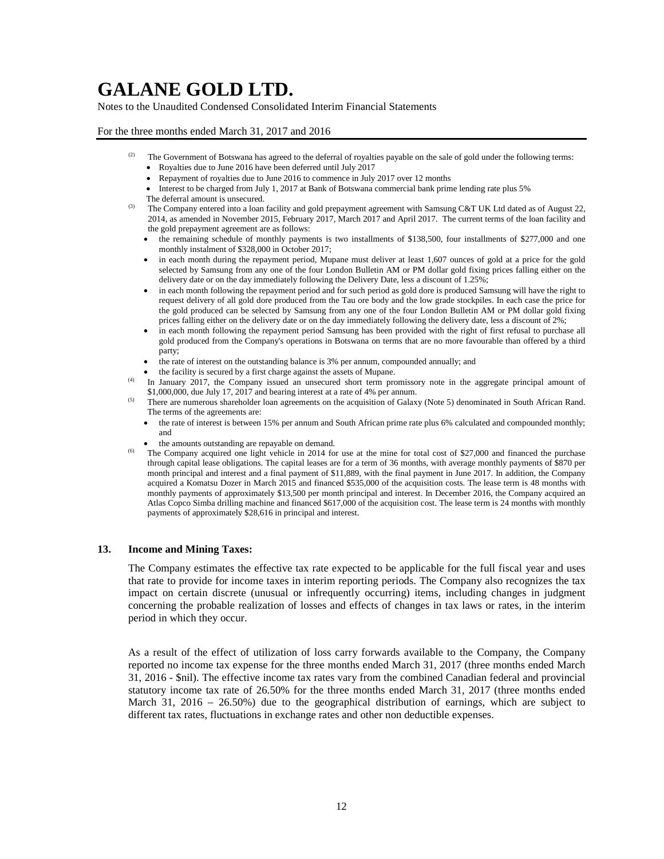Notes to the Unaudited Condensed Consolidated Interim Financial Statements

### For the three months ended March 31, 2017 and 2016

- <sup>(2)</sup> The Government of Botswana has agreed to the deferral of royalties payable on the sale of gold under the following terms:
	- Royalties due to June 2016 have been deferred until July 2017
	- Repayment of royalties due to June 2016 to commence in July 2017 over 12 months
	- Interest to be charged from July 1, 2017 at Bank of Botswana commercial bank prime lending rate plus 5% The deferral amount is unsecured.
- <sup>(3)</sup> The Company entered into a loan facility and gold prepayment agreement with Samsung C&T UK Ltd dated as of August 22, 2014, as amended in November 2015, February 2017, March 2017 and April 2017. The current terms of the loan facility and the gold prepayment agreement are as follows:
	- the remaining schedule of monthly payments is two installments of \$138,500, four installments of \$277,000 and one monthly instalment of \$328,000 in October 2017;
	- in each month during the repayment period, Mupane must deliver at least 1,607 ounces of gold at a price for the gold selected by Samsung from any one of the four London Bulletin AM or PM dollar gold fixing prices falling either on the delivery date or on the day immediately following the Delivery Date, less a discount of 1.25%;
	- in each month following the repayment period and for such period as gold dore is produced Samsung will have the right to request delivery of all gold dore produced from the Tau ore body and the low grade stockpiles. In each case the price for the gold produced can be selected by Samsung from any one of the four London Bulletin AM or PM dollar gold fixing prices falling either on the delivery date or on the day immediately following the delivery date, less a discount of 2%;
	- in each month following the repayment period Samsung has been provided with the right of first refusal to purchase all gold produced from the Company's operations in Botswana on terms that are no more favourable than offered by a third party;
	- the rate of interest on the outstanding balance is 3% per annum, compounded annually; and
	- the facility is secured by a first charge against the assets of Mupane.
- (4) In January 2017, the Company issued an unsecured short term promissory note in the aggregate principal amount of \$1,000,000, due July 17, 2017 and bearing interest at a rate of 4% per annum.
- <sup>(5)</sup> There are numerous shareholder loan agreements on the acquisition of Galaxy (Note 5) denominated in South African Rand. The terms of the agreements are:
	- the rate of interest is between 15% per annum and South African prime rate plus 6% calculated and compounded monthly; and
	- the amounts outstanding are repayable on demand.
- <sup>(6)</sup> The Company acquired one light vehicle in 2014 for use at the mine for total cost of \$27,000 and financed the purchase through capital lease obligations. The capital leases are for a term of 36 months, with average monthly payments of \$870 per month principal and interest and a final payment of \$11,889, with the final payment in June 2017. In addition, the Company acquired a Komatsu Dozer in March 2015 and financed \$535,000 of the acquisition costs. The lease term is 48 months with monthly payments of approximately \$13,500 per month principal and interest. In December 2016, the Company acquired an Atlas Copco Simba drilling machine and financed \$617,000 of the acquisition cost. The lease term is 24 months with monthly payments of approximately \$28,616 in principal and interest.

#### **13. Income and Mining Taxes:**

The Company estimates the effective tax rate expected to be applicable for the full fiscal year and uses that rate to provide for income taxes in interim reporting periods. The Company also recognizes the tax impact on certain discrete (unusual or infrequently occurring) items, including changes in judgment concerning the probable realization of losses and effects of changes in tax laws or rates, in the interim period in which they occur.

As a result of the effect of utilization of loss carry forwards available to the Company, the Company reported no income tax expense for the three months ended March 31, 2017 (three months ended March 31, 2016 - \$nil). The effective income tax rates vary from the combined Canadian federal and provincial statutory income tax rate of 26.50% for the three months ended March 31, 2017 (three months ended March 31, 2016 – 26.50%) due to the geographical distribution of earnings, which are subject to different tax rates, fluctuations in exchange rates and other non deductible expenses.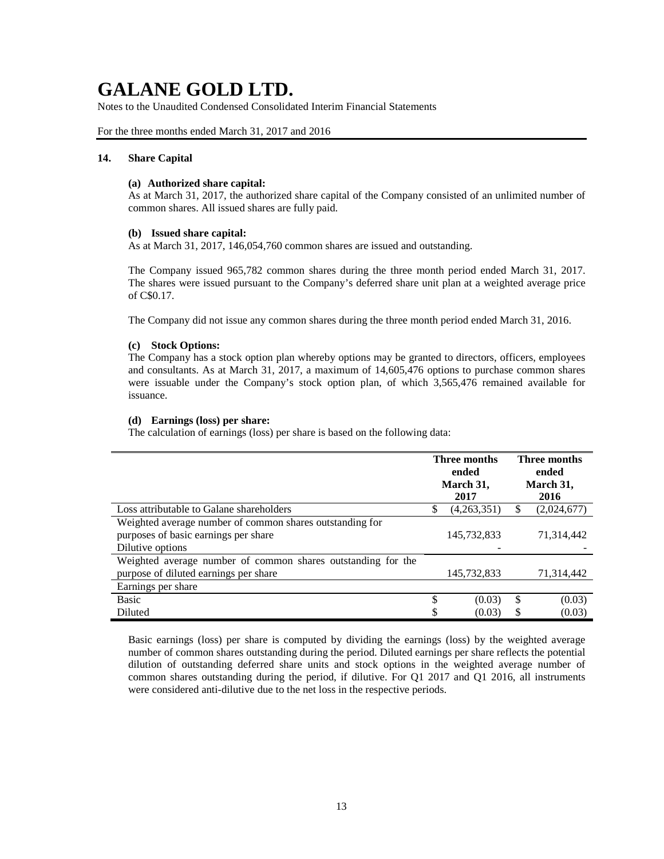Notes to the Unaudited Condensed Consolidated Interim Financial Statements

### For the three months ended March 31, 2017 and 2016

### **14. Share Capital**

#### **(a) Authorized share capital:**

As at March 31, 2017, the authorized share capital of the Company consisted of an unlimited number of common shares. All issued shares are fully paid.

### **(b) Issued share capital:**

As at March 31, 2017, 146,054,760 common shares are issued and outstanding.

The Company issued 965,782 common shares during the three month period ended March 31, 2017. The shares were issued pursuant to the Company's deferred share unit plan at a weighted average price of C\$0.17.

The Company did not issue any common shares during the three month period ended March 31, 2016.

### **(c) Stock Options:**

The Company has a stock option plan whereby options may be granted to directors, officers, employees and consultants. As at March 31, 2017, a maximum of 14,605,476 options to purchase common shares were issuable under the Company's stock option plan, of which 3,565,476 remained available for issuance.

### **(d) Earnings (loss) per share:**

The calculation of earnings (loss) per share is based on the following data:

|                                                                                                                      | Three months<br>ended<br>March 31,<br>2017 | Three months<br>ended<br>March 31,<br>2016 |             |  |
|----------------------------------------------------------------------------------------------------------------------|--------------------------------------------|--------------------------------------------|-------------|--|
| Loss attributable to Galane shareholders                                                                             | \$<br>(4,263,351)                          | S                                          | (2,024,677) |  |
| Weighted average number of common shares outstanding for<br>purposes of basic earnings per share<br>Dilutive options | 145,732,833                                |                                            | 71,314,442  |  |
| Weighted average number of common shares outstanding for the                                                         |                                            |                                            |             |  |
| purpose of diluted earnings per share                                                                                | 145,732,833                                |                                            | 71,314,442  |  |
| Earnings per share                                                                                                   |                                            |                                            |             |  |
| <b>Basic</b>                                                                                                         | \$<br>(0.03)                               | \$                                         | (0.03)      |  |
| Diluted                                                                                                              | \$<br>(0.03)                               | S                                          | (0.03)      |  |

Basic earnings (loss) per share is computed by dividing the earnings (loss) by the weighted average number of common shares outstanding during the period. Diluted earnings per share reflects the potential dilution of outstanding deferred share units and stock options in the weighted average number of common shares outstanding during the period, if dilutive. For Q1 2017 and Q1 2016, all instruments were considered anti-dilutive due to the net loss in the respective periods.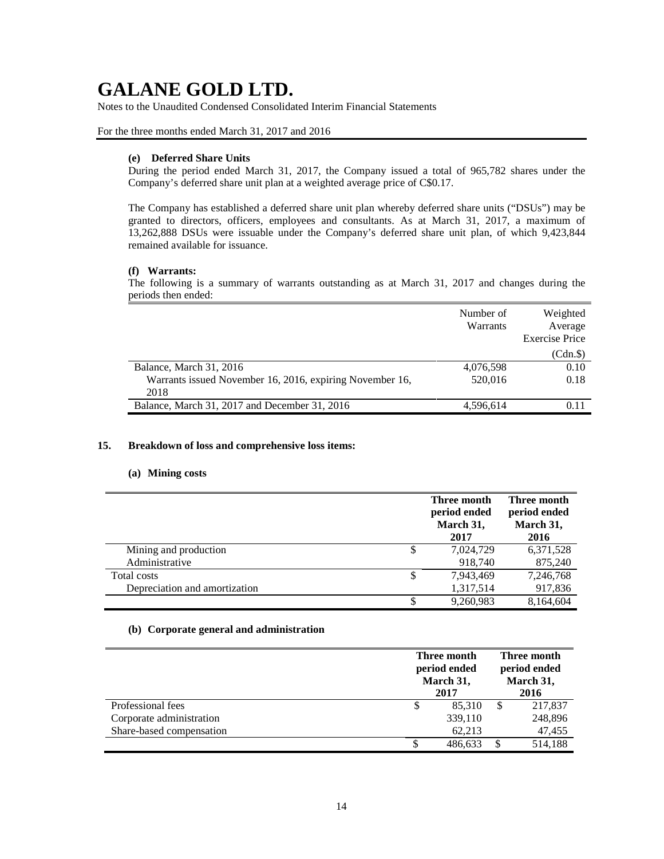Notes to the Unaudited Condensed Consolidated Interim Financial Statements

## For the three months ended March 31, 2017 and 2016

### **(e) Deferred Share Units**

During the period ended March 31, 2017, the Company issued a total of 965,782 shares under the Company's deferred share unit plan at a weighted average price of C\$0.17.

The Company has established a deferred share unit plan whereby deferred share units ("DSUs") may be granted to directors, officers, employees and consultants. As at March 31, 2017, a maximum of 13,262,888 DSUs were issuable under the Company's deferred share unit plan, of which 9,423,844 remained available for issuance.

## **(f) Warrants:**

The following is a summary of warrants outstanding as at March 31, 2017 and changes during the periods then ended:

|                                                          | Number of<br>Warrants | Weighted<br>Average<br><b>Exercise Price</b> |
|----------------------------------------------------------|-----------------------|----------------------------------------------|
|                                                          |                       | (Cdn.\$)                                     |
| Balance, March 31, 2016                                  | 4,076,598             | 0.10                                         |
| Warrants issued November 16, 2016, expiring November 16, | 520,016               | 0.18                                         |
| 2018                                                     |                       |                                              |
| Balance, March 31, 2017 and December 31, 2016            | 4,596,614             |                                              |

## **15. Breakdown of loss and comprehensive loss items:**

## **(a) Mining costs**

|                               | Three month<br>period ended<br>March 31,<br>2017 | Three month<br>period ended<br>March 31,<br>2016 |
|-------------------------------|--------------------------------------------------|--------------------------------------------------|
| Mining and production         | \$<br>7,024,729                                  | 6,371,528                                        |
| Administrative                | 918,740                                          | 875,240                                          |
| Total costs                   | 7,943,469                                        | 7,246,768                                        |
| Depreciation and amortization | 1,317,514                                        | 917,836                                          |
|                               | \$<br>9,260,983                                  | 8,164,604                                        |

### **(b) Corporate general and administration**

|                          | Three month<br>period ended<br>March 31,<br>2017 |  | Three month<br>period ended<br>March 31,<br>2016 |  |
|--------------------------|--------------------------------------------------|--|--------------------------------------------------|--|
| Professional fees        | 85,310                                           |  | 217,837                                          |  |
| Corporate administration | 339,110                                          |  | 248,896                                          |  |
| Share-based compensation | 62,213                                           |  | 47,455                                           |  |
|                          | 486,633                                          |  | 514,188                                          |  |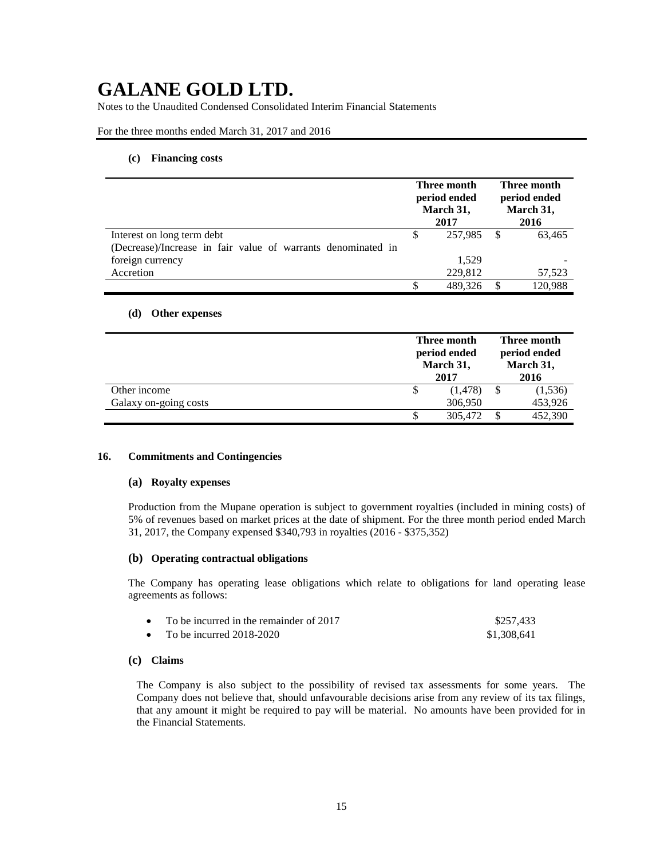Notes to the Unaudited Condensed Consolidated Interim Financial Statements

### For the three months ended March 31, 2017 and 2016

### **(c) Financing costs**

|                                                              | Three month<br>period ended<br>March 31,<br>2017 |         | Three month<br>period ended<br>March 31,<br>2016 |         |
|--------------------------------------------------------------|--------------------------------------------------|---------|--------------------------------------------------|---------|
| Interest on long term debt                                   |                                                  | 257,985 | S                                                | 63,465  |
| (Decrease)/Increase in fair value of warrants denominated in |                                                  |         |                                                  |         |
| foreign currency                                             |                                                  | 1.529   |                                                  |         |
| Accretion                                                    |                                                  | 229,812 |                                                  | 57,523  |
|                                                              |                                                  | 489.326 |                                                  | 120,988 |

### **(d) Other expenses**

|                       | Three month<br>period ended<br>March 31,<br>2017 | Three month<br>period ended<br>March 31,<br>2016 |
|-----------------------|--------------------------------------------------|--------------------------------------------------|
| Other income          | (1, 478)                                         | (1,536)                                          |
| Galaxy on-going costs | 306,950                                          | 453,926                                          |
|                       | 305,472                                          | 452,390                                          |

### **16. Commitments and Contingencies**

### **(a) Royalty expenses**

Production from the Mupane operation is subject to government royalties (included in mining costs) of 5% of revenues based on market prices at the date of shipment. For the three month period ended March 31, 2017, the Company expensed \$340,793 in royalties (2016 - \$375,352)

### **(b) Operating contractual obligations**

The Company has operating lease obligations which relate to obligations for land operating lease agreements as follows:

| • To be incurred in the remainder of $2017$ | \$257.433   |
|---------------------------------------------|-------------|
| • To be incurred $2018-2020$                | \$1,308,641 |

### **(c) Claims**

The Company is also subject to the possibility of revised tax assessments for some years. The Company does not believe that, should unfavourable decisions arise from any review of its tax filings, that any amount it might be required to pay will be material. No amounts have been provided for in the Financial Statements.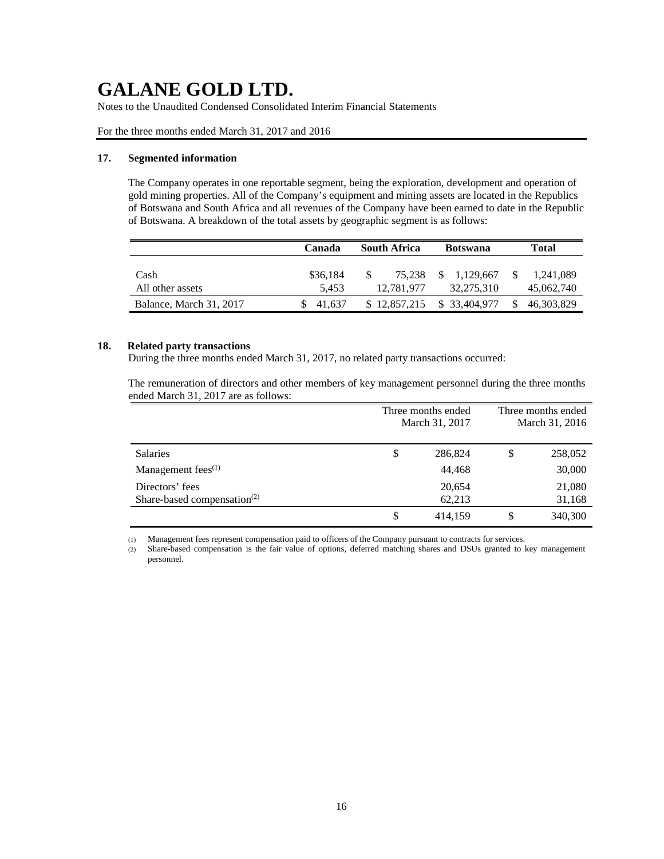Notes to the Unaudited Condensed Consolidated Interim Financial Statements

For the three months ended March 31, 2017 and 2016

## **17. Segmented information**

The Company operates in one reportable segment, being the exploration, development and operation of gold mining properties. All of the Company's equipment and mining assets are located in the Republics of Botswana and South Africa and all revenues of the Company have been earned to date in the Republic of Botswana. A breakdown of the total assets by geographic segment is as follows:

|                          | Canada    | <b>South Africa</b> | <b>Botswana</b> |            |
|--------------------------|-----------|---------------------|-----------------|------------|
| Cash<br>All other assets | \$36.184  | 75.238<br>\$.       | \$ 1.129,667    | 1.241.089  |
|                          | 5.453     | 12,781,977          | 32,275,310      | 45,062,740 |
| Balance, March 31, 2017  | \$ 41.637 | \$12,857,215        | \$ 33,404,977   | 46,303,829 |

## **18. Related party transactions**

During the three months ended March 31, 2017, no related party transactions occurred:

The remuneration of directors and other members of key management personnel during the three months ended March 31, 2017 are as follows:

|                                         | Three months ended |    | Three months ended |
|-----------------------------------------|--------------------|----|--------------------|
|                                         | March 31, 2017     |    | March 31, 2016     |
|                                         |                    |    |                    |
| <b>Salaries</b>                         | \$<br>286,824      | \$ | 258,052            |
| Management fees <sup>(1)</sup>          | 44,468             |    | 30,000             |
| Directors' fees                         | 20,654             |    | 21,080             |
| Share-based compensation <sup>(2)</sup> | 62,213             |    | 31,168             |
|                                         | \$<br>414,159      |    | 340,300            |

(1) Management fees represent compensation paid to officers of the Company pursuant to contracts for services.

(2) Share-based compensation is the fair value of options, deferred matching shares and DSUs granted to key management personnel.